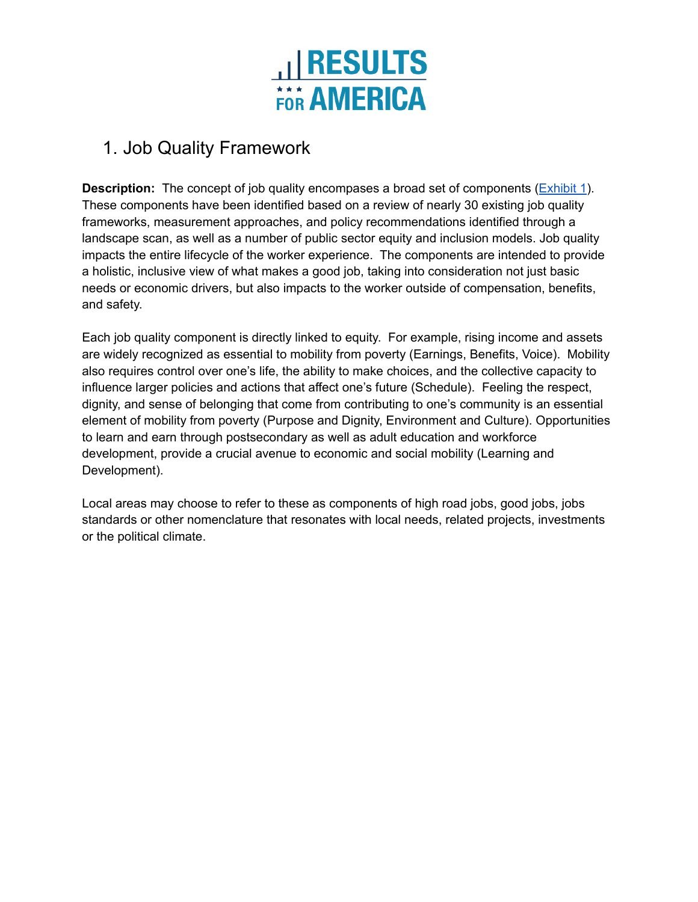

## 1. Job Quality Framework

**Description:** The concept of job quality encompases a broad set of components (*[Exhibit](#page-1-0) 1*). These components have been identified based on a review of nearly 30 existing job quality frameworks, measurement approaches, and policy recommendations identified through a landscape scan, as well as a number of public sector equity and inclusion models. Job quality impacts the entire lifecycle of the worker experience. The components are intended to provide a holistic, inclusive view of what makes a good job, taking into consideration not just basic needs or economic drivers, but also impacts to the worker outside of compensation, benefits, and safety.

Each job quality component is directly linked to equity. For example, rising income and assets are widely recognized as essential to mobility from poverty (Earnings, Benefits, Voice). Mobility also requires control over one's life, the ability to make choices, and the collective capacity to influence larger policies and actions that affect one's future (Schedule). Feeling the respect, dignity, and sense of belonging that come from contributing to one's community is an essential element of mobility from poverty (Purpose and Dignity, Environment and Culture). Opportunities to learn and earn through postsecondary as well as adult education and workforce development, provide a crucial avenue to economic and social mobility (Learning and Development).

Local areas may choose to refer to these as components of high road jobs, good jobs, jobs standards or other nomenclature that resonates with local needs, related projects, investments or the political climate.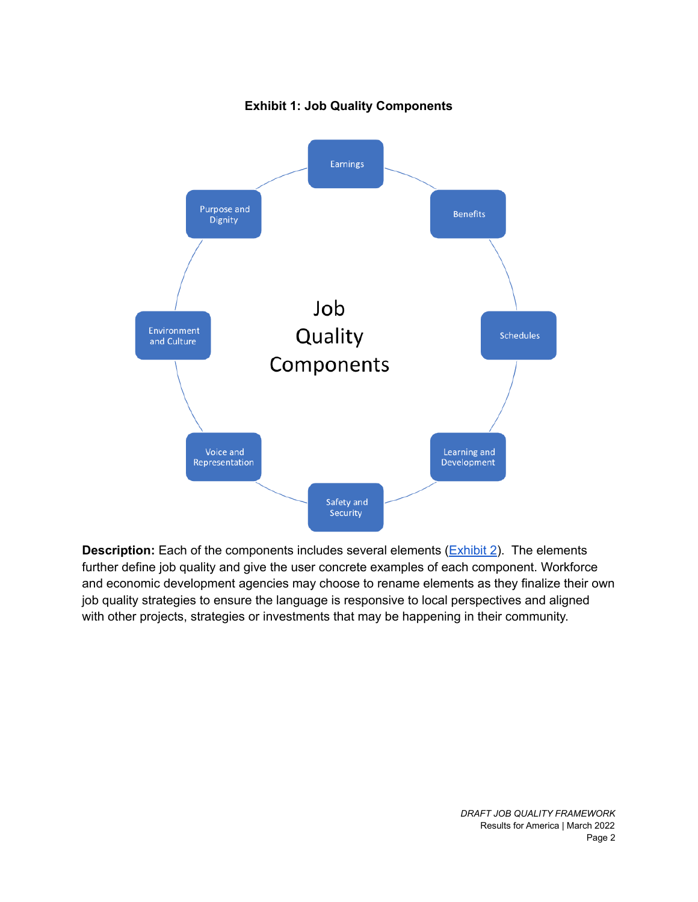<span id="page-1-0"></span>

## **Exhibit 1: Job Quality Components**

**Description:** Each of the components includes several elements (**[Exhibit](#page-2-0) 2**). The elements further define job quality and give the user concrete examples of each component. Workforce and economic development agencies may choose to rename elements as they finalize their own job quality strategies to ensure the language is responsive to local perspectives and aligned with other projects, strategies or investments that may be happening in their community.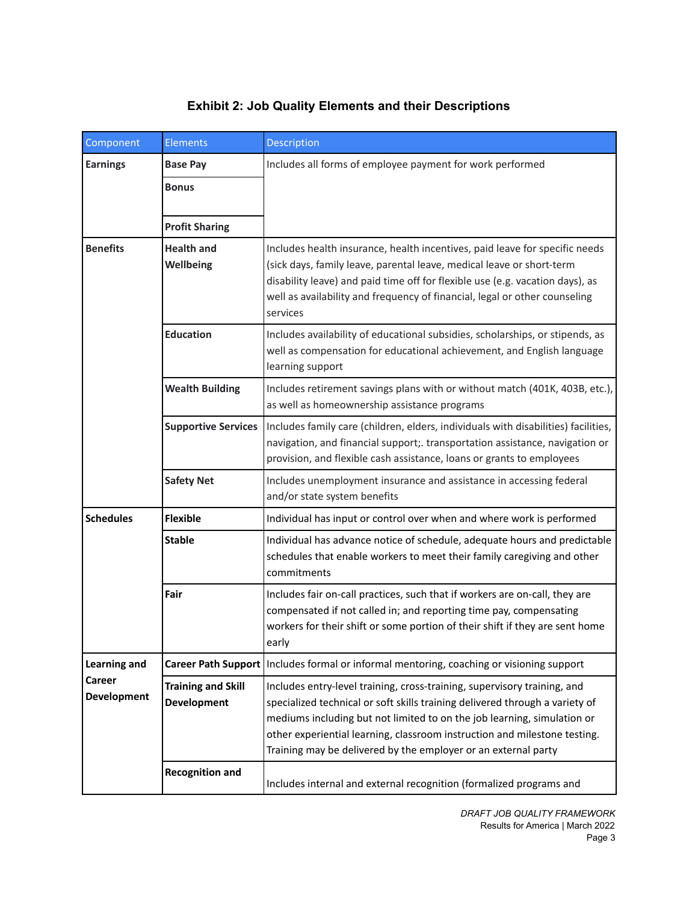## **Exhibit 2: Job Quality Elements and their Descriptions**

<span id="page-2-0"></span>

| Component                                                  | <b>Elements</b>                                 | Description                                                                                                                                                                                                                                                                                                                                                                        |
|------------------------------------------------------------|-------------------------------------------------|------------------------------------------------------------------------------------------------------------------------------------------------------------------------------------------------------------------------------------------------------------------------------------------------------------------------------------------------------------------------------------|
| <b>Earnings</b>                                            | <b>Base Pay</b>                                 | Includes all forms of employee payment for work performed                                                                                                                                                                                                                                                                                                                          |
|                                                            | <b>Bonus</b>                                    |                                                                                                                                                                                                                                                                                                                                                                                    |
|                                                            | <b>Profit Sharing</b>                           |                                                                                                                                                                                                                                                                                                                                                                                    |
| <b>Benefits</b>                                            | <b>Health and</b><br>Wellbeing                  | Includes health insurance, health incentives, paid leave for specific needs<br>(sick days, family leave, parental leave, medical leave or short-term<br>disability leave) and paid time off for flexible use (e.g. vacation days), as<br>well as availability and frequency of financial, legal or other counseling<br>services                                                    |
|                                                            | <b>Education</b>                                | Includes availability of educational subsidies, scholarships, or stipends, as<br>well as compensation for educational achievement, and English language<br>learning support                                                                                                                                                                                                        |
|                                                            | <b>Wealth Building</b>                          | Includes retirement savings plans with or without match (401K, 403B, etc.),<br>as well as homeownership assistance programs                                                                                                                                                                                                                                                        |
|                                                            | <b>Supportive Services</b>                      | Includes family care (children, elders, individuals with disabilities) facilities,<br>navigation, and financial support;. transportation assistance, navigation or<br>provision, and flexible cash assistance, loans or grants to employees                                                                                                                                        |
|                                                            | <b>Safety Net</b>                               | Includes unemployment insurance and assistance in accessing federal<br>and/or state system benefits                                                                                                                                                                                                                                                                                |
| <b>Schedules</b>                                           | <b>Flexible</b>                                 | Individual has input or control over when and where work is performed                                                                                                                                                                                                                                                                                                              |
|                                                            | <b>Stable</b>                                   | Individual has advance notice of schedule, adequate hours and predictable<br>schedules that enable workers to meet their family caregiving and other<br>commitments                                                                                                                                                                                                                |
|                                                            | Fair                                            | Includes fair on-call practices, such that if workers are on-call, they are<br>compensated if not called in; and reporting time pay, compensating<br>workers for their shift or some portion of their shift if they are sent home<br>early                                                                                                                                         |
| <b>Learning and</b><br><b>Career</b><br><b>Development</b> | <b>Career Path Support</b>                      | Includes formal or informal mentoring, coaching or visioning support                                                                                                                                                                                                                                                                                                               |
|                                                            | <b>Training and Skill</b><br><b>Development</b> | Includes entry-level training, cross-training, supervisory training, and<br>specialized technical or soft skills training delivered through a variety of<br>mediums including but not limited to on the job learning, simulation or<br>other experiential learning, classroom instruction and milestone testing.<br>Training may be delivered by the employer or an external party |
|                                                            | <b>Recognition and</b>                          | Includes internal and external recognition (formalized programs and                                                                                                                                                                                                                                                                                                                |